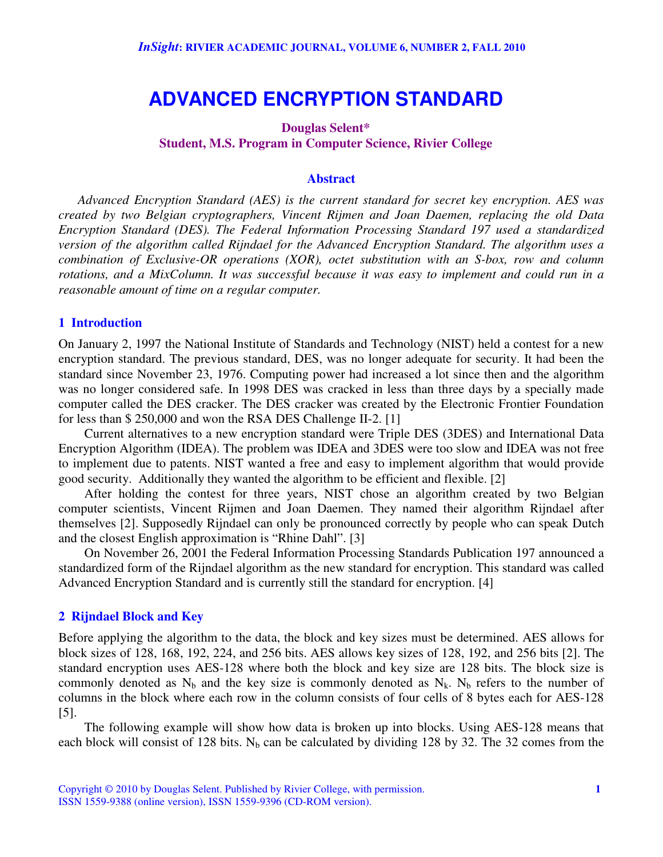# **ADVANCED ENCRYPTION STANDARD**

## **Douglas Selent\* Student, M.S. Program in Computer Science, Rivier College**

#### **Abstract**

*Advanced Encryption Standard (AES) is the current standard for secret key encryption. AES was created by two Belgian cryptographers, Vincent Rijmen and Joan Daemen, replacing the old Data Encryption Standard (DES). The Federal Information Processing Standard 197 used a standardized version of the algorithm called Rijndael for the Advanced Encryption Standard. The algorithm uses a combination of Exclusive-OR operations (XOR), octet substitution with an S-box, row and column rotations, and a MixColumn. It was successful because it was easy to implement and could run in a reasonable amount of time on a regular computer.*

#### **1 Introduction**

On January 2, 1997 the National Institute of Standards and Technology (NIST) held a contest for a new encryption standard. The previous standard, DES, was no longer adequate for security. It had been the standard since November 23, 1976. Computing power had increased a lot since then and the algorithm was no longer considered safe. In 1998 DES was cracked in less than three days by a specially made computer called the DES cracker. The DES cracker was created by the Electronic Frontier Foundation for less than \$ 250,000 and won the RSA DES Challenge II-2. [1]

Current alternatives to a new encryption standard were Triple DES (3DES) and International Data Encryption Algorithm (IDEA). The problem was IDEA and 3DES were too slow and IDEA was not free to implement due to patents. NIST wanted a free and easy to implement algorithm that would provide good security. Additionally they wanted the algorithm to be efficient and flexible. [2]

After holding the contest for three years, NIST chose an algorithm created by two Belgian computer scientists, Vincent Rijmen and Joan Daemen. They named their algorithm Rijndael after themselves [2]. Supposedly Rijndael can only be pronounced correctly by people who can speak Dutch and the closest English approximation is "Rhine Dahl". [3]

On November 26, 2001 the Federal Information Processing Standards Publication 197 announced a standardized form of the Rijndael algorithm as the new standard for encryption. This standard was called Advanced Encryption Standard and is currently still the standard for encryption. [4]

#### **2 Rijndael Block and Key**

Before applying the algorithm to the data, the block and key sizes must be determined. AES allows for block sizes of 128, 168, 192, 224, and 256 bits. AES allows key sizes of 128, 192, and 256 bits [2]. The standard encryption uses AES-128 where both the block and key size are 128 bits. The block size is commonly denoted as  $N_b$  and the key size is commonly denoted as  $N_k$ .  $N_b$  refers to the number of columns in the block where each row in the column consists of four cells of 8 bytes each for AES-128 [5].

The following example will show how data is broken up into blocks. Using AES-128 means that each block will consist of 128 bits. N<sub>b</sub> can be calculated by dividing 128 by 32. The 32 comes from the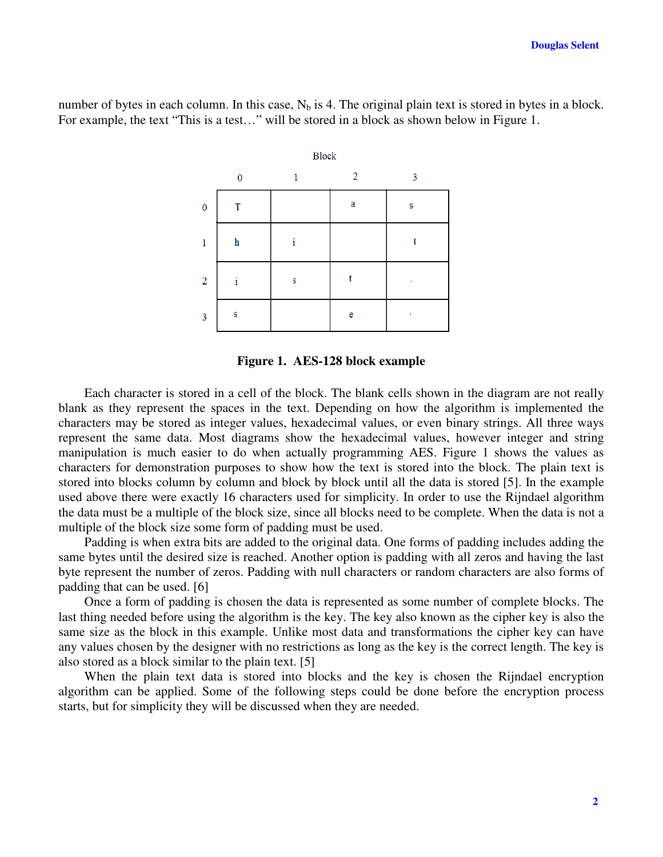number of bytes in each column. In this case,  $N_b$  is 4. The original plain text is stored in bytes in a block. For example, the text "This is a test…" will be stored in a block as shown below in Figure 1.





Each character is stored in a cell of the block. The blank cells shown in the diagram are not really blank as they represent the spaces in the text. Depending on how the algorithm is implemented the characters may be stored as integer values, hexadecimal values, or even binary strings. All three ways represent the same data. Most diagrams show the hexadecimal values, however integer and string manipulation is much easier to do when actually programming AES. Figure 1 shows the values as characters for demonstration purposes to show how the text is stored into the block. The plain text is stored into blocks column by column and block by block until all the data is stored [5]. In the example used above there were exactly 16 characters used for simplicity. In order to use the Rijndael algorithm the data must be a multiple of the block size, since all blocks need to be complete. When the data is not a multiple of the block size some form of padding must be used.

Padding is when extra bits are added to the original data. One forms of padding includes adding the same bytes until the desired size is reached. Another option is padding with all zeros and having the last byte represent the number of zeros. Padding with null characters or random characters are also forms of padding that can be used. [6]

Once a form of padding is chosen the data is represented as some number of complete blocks. The last thing needed before using the algorithm is the key. The key also known as the cipher key is also the same size as the block in this example. Unlike most data and transformations the cipher key can have any values chosen by the designer with no restrictions as long as the key is the correct length. The key is also stored as a block similar to the plain text. [5]

When the plain text data is stored into blocks and the key is chosen the Rijndael encryption algorithm can be applied. Some of the following steps could be done before the encryption process starts, but for simplicity they will be discussed when they are needed.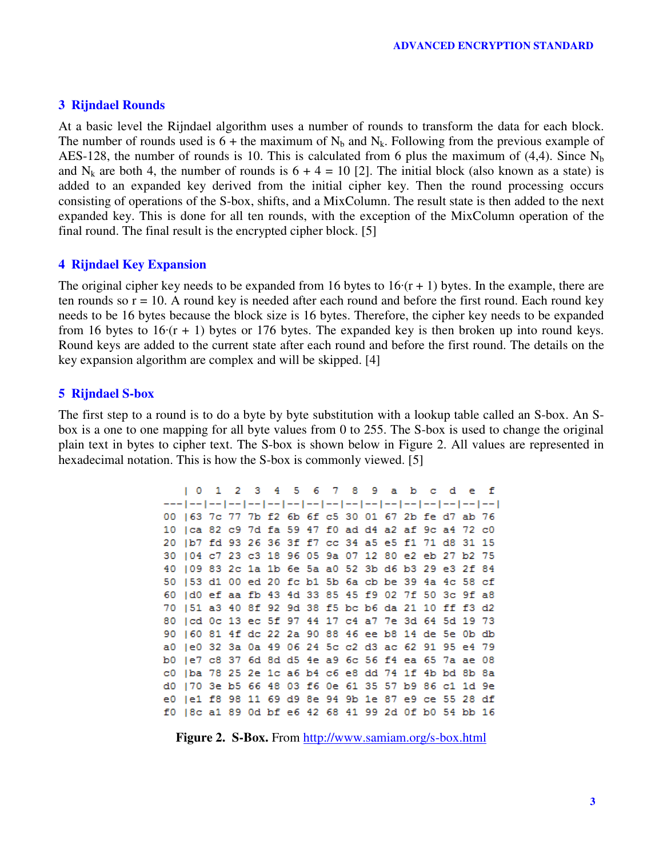#### **3 Rijndael Rounds**

At a basic level the Rijndael algorithm uses a number of rounds to transform the data for each block. The number of rounds used is  $6 +$  the maximum of N<sub>b</sub> and N<sub>k</sub>. Following from the previous example of AES-128, the number of rounds is 10. This is calculated from 6 plus the maximum of  $(4,4)$ . Since N<sub>b</sub> and N<sub>k</sub> are both 4, the number of rounds is  $6 + 4 = 10$  [2]. The initial block (also known as a state) is added to an expanded key derived from the initial cipher key. Then the round processing occurs consisting of operations of the S-box, shifts, and a MixColumn. The result state is then added to the next expanded key. This is done for all ten rounds, with the exception of the MixColumn operation of the final round. The final result is the encrypted cipher block. [5]

#### **4 Rijndael Key Expansion**

The original cipher key needs to be expanded from 16 bytes to  $16(r + 1)$  bytes. In the example, there are ten rounds so  $r = 10$ . A round key is needed after each round and before the first round. Each round key needs to be 16 bytes because the block size is 16 bytes. Therefore, the cipher key needs to be expanded from 16 bytes to  $16(r + 1)$  bytes or 176 bytes. The expanded key is then broken up into round keys. Round keys are added to the current state after each round and before the first round. The details on the key expansion algorithm are complex and will be skipped. [4]

#### **5 Rijndael S-box**

The first step to a round is to do a byte by byte substitution with a lookup table called an S-box. An Sbox is a one to one mapping for all byte values from 0 to 255. The S-box is used to change the original plain text in bytes to cipher text. The S-box is shown below in Figure 2. All values are represented in hexadecimal notation. This is how the S-box is commonly viewed. [5]

> $\begin{array}{ccc} \n & 0 \n \end{array}$ 1 2 3 4 5 6 7 8 9 a b c f ್ e 00 | 63 7c 77 7b f2 6b 6f c5 30 01 67 2b fe d7 ab 76 10 | ca 82 c9 7d fa 59 47 f0 ad d4 a2 af 9c a4 72 c0 20 |b7 fd 93 26 36 3f f7 cc 34 a5 e5 f1 71 d8 31 15 30 | 04 c7 23 c3 18 96 05 9a 07 12 80 e2 eb 27 b2 75 40 | 09 83 2c 1a 1b 6e 5a a0 52 3b d6 b3 29 e3 2f 84 50 | 53 d1 00 ed 20 fc b1 5b 6a cb be 39 4a 4c 58 cf 60 | d0 ef aa fb 43 4d 33 85 45 f9 02 7f 50 3c 9f a8 70 | 51 a3 40 8f 92 9d 38 f5 bc b6 da 21 10 ff f3 d2 80 | cd 0c 13 ec 5f 97 44 17 c4 a7 7e 3d 64 5d 19 73 90 | 60 81 4f dc 22 2a 90 88 46 ee b8 14 de 5e 0b db a0 | e0 32 3a 0a 49 06 24 5c c2 d3 ac 62 91 95 e4 79 b0 | e7 c8 37 6d 8d d5 4e a9 6c 56 f4 ea 65 7a ae 08 c0 | ba 78 25 2e 1c a6 b4 c6 e8 dd 74 1f 4b bd 8b 8a d0 |70 3e b5 66 48 03 f6 0e 61 35 57 b9 86 c1 1d 9e e0 |e1 f8 98 11 69 d9 8e 94 9b 1e 87 e9 ce 55 28 df f0 |8c a1 89 0d bf e6 42 68 41 99 2d 0f b0 54 bb 16

**Figure 2. S-Box.** From http://www.samiam.org/s-box.html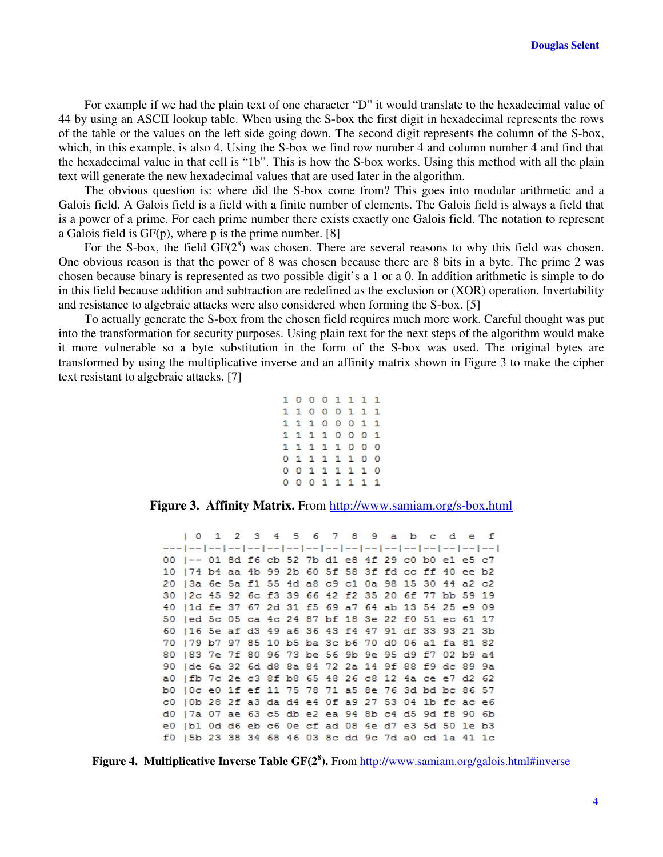For example if we had the plain text of one character "D" it would translate to the hexadecimal value of 44 by using an ASCII lookup table. When using the S-box the first digit in hexadecimal represents the rows of the table or the values on the left side going down. The second digit represents the column of the S-box, which, in this example, is also 4. Using the S-box we find row number 4 and column number 4 and find that the hexadecimal value in that cell is "1b". This is how the S-box works. Using this method with all the plain text will generate the new hexadecimal values that are used later in the algorithm.

The obvious question is: where did the S-box come from? This goes into modular arithmetic and a Galois field. A Galois field is a field with a finite number of elements. The Galois field is always a field that is a power of a prime. For each prime number there exists exactly one Galois field. The notation to represent a Galois field is GF(p), where p is the prime number. [8]

For the S-box, the field  $GF(2^8)$  was chosen. There are several reasons to why this field was chosen. One obvious reason is that the power of 8 was chosen because there are 8 bits in a byte. The prime 2 was chosen because binary is represented as two possible digit's a 1 or a 0. In addition arithmetic is simple to do in this field because addition and subtraction are redefined as the exclusion or (XOR) operation. Invertability and resistance to algebraic attacks were also considered when forming the S-box. [5]

To actually generate the S-box from the chosen field requires much more work. Careful thought was put into the transformation for security purposes. Using plain text for the next steps of the algorithm would make it more vulnerable so a byte substitution in the form of the S-box was used. The original bytes are transformed by using the multiplicative inverse and an affinity matrix shown in Figure 3 to make the cipher text resistant to algebraic attacks. [7]

```
10001111
11000111
1110001
          \mathbf{1}11110001
11111000
0 1 1 1 1 1 0 00 0 1 1 1 1 1 0
00011111
```
**Figure 3. Affinity Matrix.** From http://www.samiam.org/s-box.html

 $\overline{2}$ 3 4 5 6 7 8 9 a b f  $\begin{array}{ccc} \n & \circ \n \end{array}$  $1$  $c_d$ - e 00 |-- 01 8d f6 cb 52 7b d1 e8 4f 29 c0 b0 e1 e5 c7 10 | 74 b4 aa 4b 99 2b 60 5f 58 3f fd cc ff 40 ee b2 20 | 3a 6e 5a f1 55 4d a8 c9 c1 0a 98 15 30 44 a2 c2 30 | 2c 45 92 6c f3 39 66 42 f2 35 20 6f 77 bb 59 19 40 | 1d fe 37 67 2d 31 f5 69 a7 64 ab 13 54 25 e9 09 50 | ed 5c 05 ca 4c 24 87 bf 18 3e 22 f0 51 ec 61 17 60 | 16 5e af d3 49 a6 36 43 f4 47 91 df 33 93 21 3b 70 | 79 b7 97 85 10 b5 ba 3c b6 70 d0 06 a1 fa 81 82 80 | 83 7e 7f 80 96 73 be 56 9b 9e 95 d9 f7 02 b9 a4 90 | de 6a 32 6d d8 8a 84 72 2a 14 9f 88 f9 dc 89 9a a0 | fb 7c 2e c3 8f b8 65 48 26 c8 12 4a ce e7 d2 62 b0 | 0c e0 1f ef 11 75 78 71 a5 8e 76 3d bd bc 86 57 c0 | 0b 28 2f a3 da d4 e4 0f a9 27 53 04 1b fc ac e6 d0 | 7a 07 ae 63 c5 db e2 ea 94 8b c4 d5 9d f8 90 6b e0 |b1 0d d6 eb c6 0e cf ad 08 4e d7 e3 5d 50 1e b3 f0 | 5b 23 38 34 68 46 03 8c dd 9c 7d a0 cd 1a 41 1c

**Figure 4. Multiplicative Inverse Table GF(2 8 ).** From http://www.samiam.org/galois.html#inverse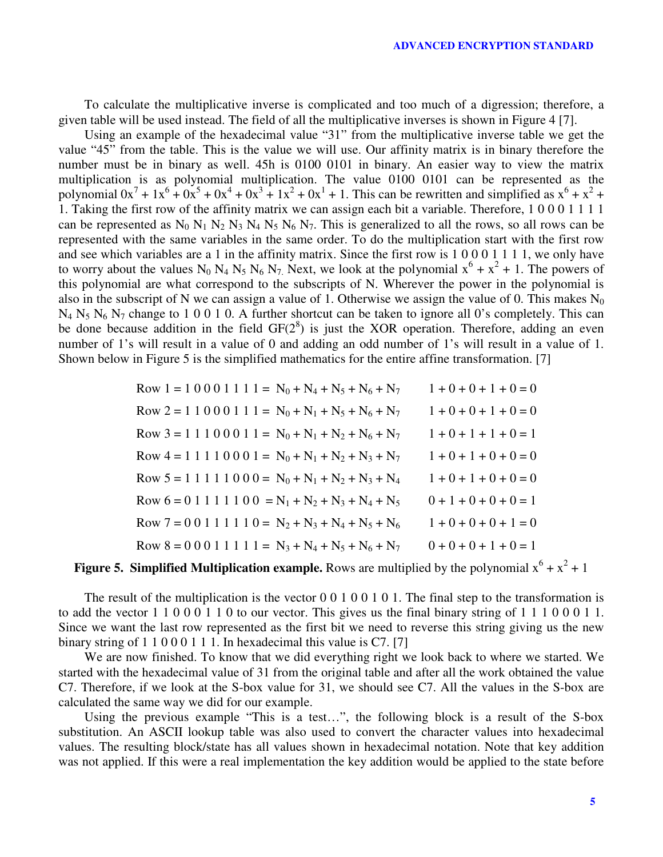To calculate the multiplicative inverse is complicated and too much of a digression; therefore, a given table will be used instead. The field of all the multiplicative inverses is shown in Figure 4 [7].

Using an example of the hexadecimal value "31" from the multiplicative inverse table we get the value "45" from the table. This is the value we will use. Our affinity matrix is in binary therefore the number must be in binary as well. 45h is 0100 0101 in binary. An easier way to view the matrix multiplication is as polynomial multiplication. The value 0100 0101 can be represented as the polynomial  $0x^7 + 1x^6 + 0x^5 + 0x^4 + 0x^3 + 1x^2 + 0x^1 + 1$ . This can be rewritten and simplified as  $x^6 + x^2 +$ 1. Taking the first row of the affinity matrix we can assign each bit a variable. Therefore, 1 0 0 0 1 1 1 1 can be represented as  $N_0 N_1 N_2 N_3 N_4 N_5 N_6 N_7$ . This is generalized to all the rows, so all rows can be represented with the same variables in the same order. To do the multiplication start with the first row and see which variables are a 1 in the affinity matrix. Since the first row is 1 0 0 0 1 1 1 1, we only have to worry about the values N<sub>0</sub> N<sub>4</sub> N<sub>5</sub> N<sub>6</sub> N<sub>7</sub>. Next, we look at the polynomial  $x^6 + x^2 + 1$ . The powers of this polynomial are what correspond to the subscripts of N. Wherever the power in the polynomial is also in the subscript of N we can assign a value of 1. Otherwise we assign the value of 0. This makes  $N_0$  $N_4$  N<sub>5</sub> N<sub>6</sub> N<sub>7</sub> change to 1 0 0 1 0. A further shortcut can be taken to ignore all 0's completely. This can be done because addition in the field  $GF(2^8)$  is just the XOR operation. Therefore, adding an even number of 1's will result in a value of 0 and adding an odd number of 1's will result in a value of 1. Shown below in Figure 5 is the simplified mathematics for the entire affine transformation. [7]

| Row 1 = 1 0 0 0 1 1 1 1 = $N_0 + N_4 + N_5 + N_6 + N_7$ | $1 + 0 + 0 + 1 + 0 = 0$ |
|---------------------------------------------------------|-------------------------|
| Row 2 = 1 1 0 0 0 1 1 1 = $N_0 + N_1 + N_5 + N_6 + N_7$ | $1 + 0 + 0 + 1 + 0 = 0$ |
| Row 3 = 1 1 1 0 0 0 1 1 = $N_0 + N_1 + N_2 + N_6 + N_7$ | $1+0+1+1+0=1$           |
| Row 4 = 1 1 1 0 0 0 1 = $N_0 + N_1 + N_2 + N_3 + N_7$   | $1 + 0 + 1 + 0 + 0 = 0$ |
| Row $5 = 1 1 1 1 1 0 0 0 = N_0 + N_1 + N_2 + N_3 + N_4$ | $1+0+1+0+0=0$           |
| Row $6 = 0 1 1 1 1 1 0 0 = N_1 + N_2 + N_3 + N_4 + N_5$ | $0+1+0+0+0=1$           |
| Row 7 = 0 0 1 1 1 1 1 0 = $N_2 + N_3 + N_4 + N_5 + N_6$ | $1 + 0 + 0 + 0 + 1 = 0$ |
| Row 8 = 0 0 0 1 1 1 1 1 = $N_3 + N_4 + N_5 + N_6 + N_7$ | $0+0+0+1+0=1$           |

# **Figure 5. Simplified Multiplication example.** Rows are multiplied by the polynomial  $x^6 + x^2 + 1$

The result of the multiplication is the vector  $0\ 0\ 1\ 0\ 0\ 1\ 0\ 1$ . The final step to the transformation is to add the vector 1 1 0 0 0 1 1 0 to our vector. This gives us the final binary string of 1 1 1 0 0 0 1 1. Since we want the last row represented as the first bit we need to reverse this string giving us the new binary string of 1 1 0 0 0 1 1 1. In hexadecimal this value is C7. [7]

We are now finished. To know that we did everything right we look back to where we started. We started with the hexadecimal value of 31 from the original table and after all the work obtained the value C7. Therefore, if we look at the S-box value for 31, we should see C7. All the values in the S-box are calculated the same way we did for our example.

Using the previous example "This is a test…", the following block is a result of the S-box substitution. An ASCII lookup table was also used to convert the character values into hexadecimal values. The resulting block/state has all values shown in hexadecimal notation. Note that key addition was not applied. If this were a real implementation the key addition would be applied to the state before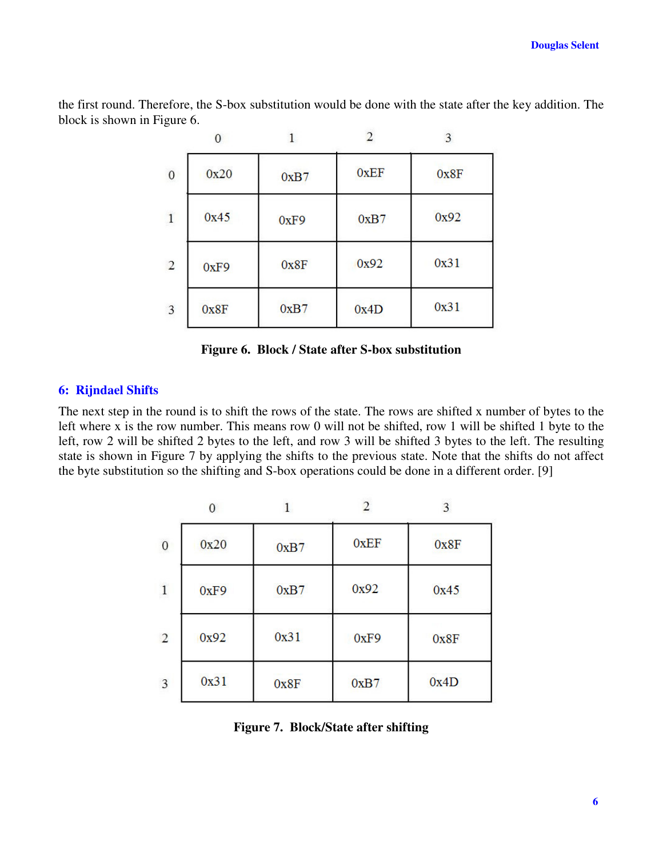the first round. Therefore, the S-box substitution would be done with the state after the key addition. The block is shown in Figure 6.

 $\overline{a}$ 

|                  | $\Omega$ |      |             | 3    |
|------------------|----------|------|-------------|------|
| $\boldsymbol{0}$ | 0x20     | 0xB7 | <b>OxEF</b> | 0x8F |
| $\mathbf{1}$     | 0x45     | 0xF9 | 0xB7        | 0x92 |
| $\overline{2}$   | 0xF9     | 0x8F | 0x92        | 0x31 |
| 3                | 0x8F     | 0xB7 | 0x4D        | 0x31 |

**Figure 6. Block / State after S-box substitution**

#### **6: Rijndael Shifts**

The next step in the round is to shift the rows of the state. The rows are shifted x number of bytes to the left where x is the row number. This means row 0 will not be shifted, row 1 will be shifted 1 byte to the left, row 2 will be shifted 2 bytes to the left, and row 3 will be shifted 3 bytes to the left. The resulting state is shown in Figure 7 by applying the shifts to the previous state. Note that the shifts do not affect the byte substitution so the shifting and S-box operations could be done in a different order. [9]

|                |      |      |      | 3    |
|----------------|------|------|------|------|
| $\mathbf{0}$   | 0x20 | 0xB7 | 0xEF | 0x8F |
| $\mathbf{1}$   | 0xF9 | 0xB7 | 0x92 | 0x45 |
| $\overline{2}$ | 0x92 | 0x31 | 0xF9 | 0x8F |
| 3              | 0x31 | 0x8F | 0xB7 | 0x4D |

**Figure 7. Block/State after shifting**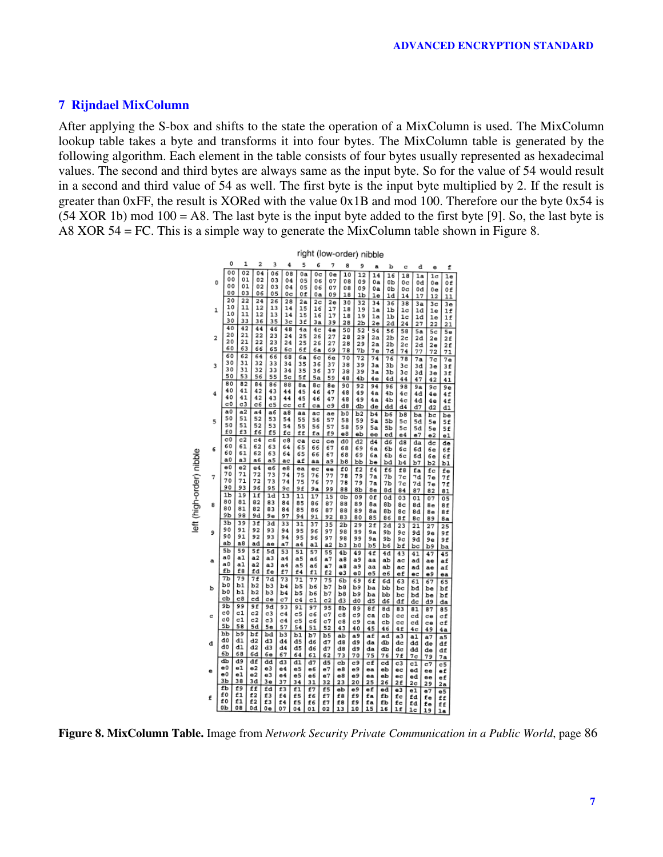#### **7 Rijndael MixColumn**

After applying the S-box and shifts to the state the operation of a MixColumn is used. The MixColumn lookup table takes a byte and transforms it into four bytes. The MixColumn table is generated by the following algorithm. Each element in the table consists of four bytes usually represented as hexadecimal values. The second and third bytes are always same as the input byte. So for the value of 54 would result in a second and third value of 54 as well. The first byte is the input byte multiplied by 2. If the result is greater than 0xFF, the result is XORed with the value 0x1B and mod 100. Therefore our the byte 0x54 is  $(54 \text{ XOR } 1b) \text{ mod } 100 = \text{A}8$ . The last byte is the input byte added to the first byte [9]. So, the last byte is A8 XOR 54 = FC. This is a simple way to generate the MixColumn table shown in Figure 8.



**Figure 8. MixColumn Table.** Image from *Network Security Private Communication in a Public World*, page 86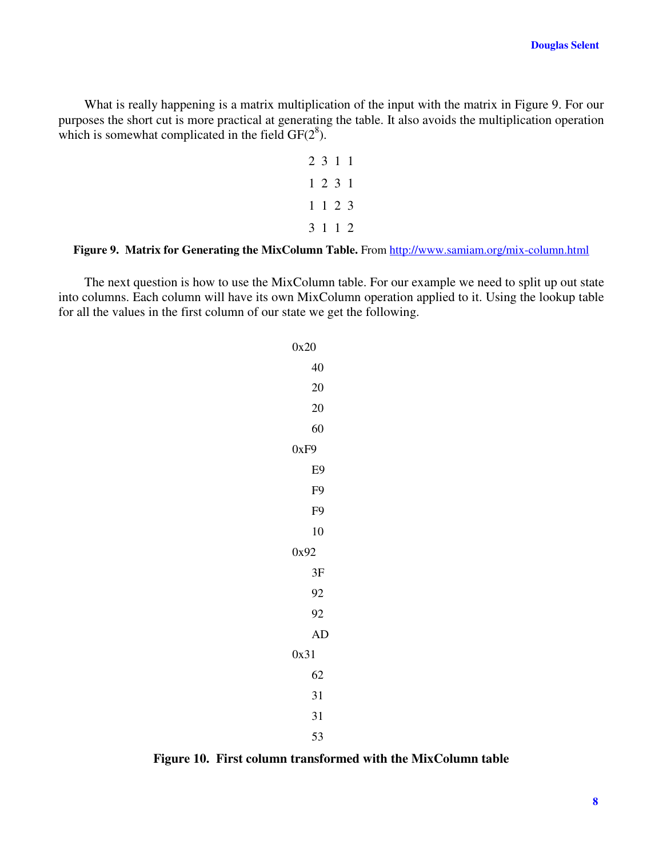What is really happening is a matrix multiplication of the input with the matrix in Figure 9. For our purposes the short cut is more practical at generating the table. It also avoids the multiplication operation which is somewhat complicated in the field  $GF(2^8)$ .

# **Figure 9. Matrix for Generating the MixColumn Table.** From http://www.samiam.org/mix-column.html

The next question is how to use the MixColumn table. For our example we need to split up out state into columns. Each column will have its own MixColumn operation applied to it. Using the lookup table for all the values in the first column of our state we get the following.

> 0x20 40 20 20 60 0xF9 E9 F9 F9 10 0x92 3F 92 92 AD 0x31 62 31 31 53

**Figure 10. First column transformed with the MixColumn table**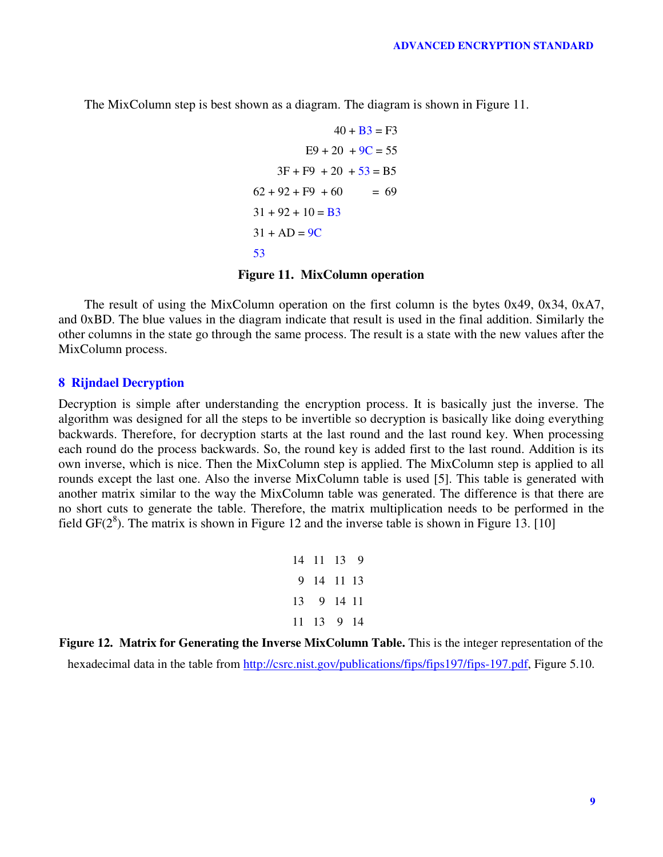The MixColumn step is best shown as a diagram. The diagram is shown in Figure 11.

$$
40 + B3 = F3
$$
  
\n
$$
E9 + 20 + 9C = 55
$$
  
\n
$$
3F + F9 + 20 + 53 = B5
$$
  
\n
$$
62 + 92 + F9 + 60 = 69
$$
  
\n
$$
31 + 92 + 10 = B3
$$
  
\n
$$
31 + AD = 9C
$$
  
\n
$$
53
$$

# **Figure 11. MixColumn operation**

The result of using the MixColumn operation on the first column is the bytes 0x49, 0x34, 0xA7, and 0xBD. The blue values in the diagram indicate that result is used in the final addition. Similarly the other columns in the state go through the same process. The result is a state with the new values after the MixColumn process.

#### **8 Rijndael Decryption**

Decryption is simple after understanding the encryption process. It is basically just the inverse. The algorithm was designed for all the steps to be invertible so decryption is basically like doing everything backwards. Therefore, for decryption starts at the last round and the last round key. When processing each round do the process backwards. So, the round key is added first to the last round. Addition is its own inverse, which is nice. Then the MixColumn step is applied. The MixColumn step is applied to all rounds except the last one. Also the inverse MixColumn table is used [5]. This table is generated with another matrix similar to the way the MixColumn table was generated. The difference is that there are no short cuts to generate the table. Therefore, the matrix multiplication needs to be performed in the field GF( $2<sup>8</sup>$ ). The matrix is shown in Figure 12 and the inverse table is shown in Figure 13. [10]

> 14 11 13 9 9 14 11 13 13 9 14 11 11 13 9 14

**Figure 12. Matrix for Generating the Inverse MixColumn Table.** This is the integer representation of the hexadecimal data in the table from http://csrc.nist.gov/publications/fips/fips197/fips-197.pdf, Figure 5.10.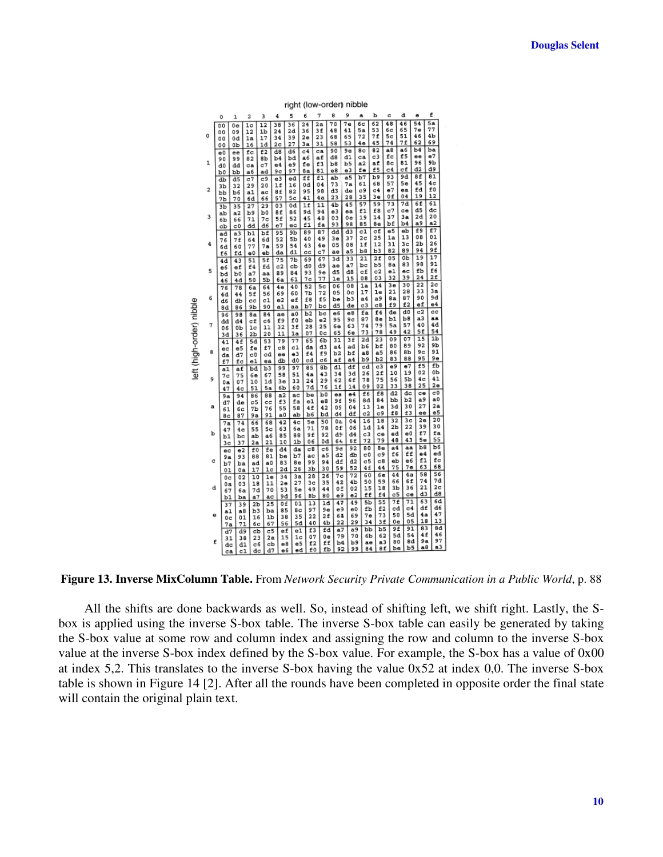|                          |              | right (low-order) nibble |                        |                      |                                   |                      |                |                |                      |                      |                      |                      |                       |                      |                      |                      |                      |  |
|--------------------------|--------------|--------------------------|------------------------|----------------------|-----------------------------------|----------------------|----------------|----------------|----------------------|----------------------|----------------------|----------------------|-----------------------|----------------------|----------------------|----------------------|----------------------|--|
|                          |              | 0                        | ı                      | 2                    | 3                                 | 4                    | 5              | 6              | 7                    | 8                    | 9                    | a                    | р                     | c                    | d                    | e                    | f                    |  |
|                          |              | 0 <sub>0</sub><br>00     | 0e<br>09               | 1 <sub>c</sub><br>12 | $\overline{12}$<br>1 <sub>b</sub> | 38<br>24             | 36<br>2d       | $^{24}$<br>36  | 2a<br>3f             | 70<br>48             | 7e<br>41             | 6c<br>5a             | $\overline{62}$<br>53 | 48<br>бc             | 46<br>65             | 54<br>7е             | 5a<br>77             |  |
|                          | 0            | 00                       | 0d                     | 1a                   | 17<br>1d                          | 34<br>2 <sub>c</sub> | 39<br>27       | 2e<br>Зa       | 23<br>31             | 68<br>58             | 65<br>53             | 72<br>4е             | 7f<br>45              | 5c<br>74             | 51<br>7f             | 46<br>62             | 4b<br>69             |  |
|                          |              | 00<br>e0                 | OЬ<br>ee               | 16<br>fс             | f2                                | d8                   | d6             | C <sub>4</sub> | ca                   | 90                   | 9е                   | 8с                   | 82                    | a8                   | a6                   | b4                   | ba                   |  |
|                          | $\mathbf{1}$ | 90<br>d0                 | 99<br>dd               | 82<br>ca             | 8b<br>c7                          | b4<br>e4             | bd<br>e9       | a6<br>fe       | af<br>f3             | 48<br>b8             | d1<br>b5             | ca<br>a2             | c3<br>af              | fc<br>8с             | £5<br>81             | ee<br>96             | e7<br>9 <sub>b</sub> |  |
|                          |              | ъo                       | Ъb                     | a6                   | ad                                | 9с                   | 97             | 8a             | 81                   | е8                   | e3                   | fe<br>b7             | £5<br>b9              | c4<br>93             | cf<br>9d             | d2<br>8f             | d9<br>81             |  |
|                          |              | db<br>3b                 | d5<br>32               | c7<br>29             | c9<br>20                          | e3<br>1f             | ed<br>16       | ff<br>0d       | f1<br>04             | ab<br>73             | a5<br>7а             | 61                   | 68                    | 57                   | 5e                   | 45                   | 4c                   |  |
|                          | 2            | Ъb                       | b6                     | a1                   | ac<br>66                          | 8f<br>57             | 82<br>5c       | 95<br>41       | 98<br>4a             | d3<br>23             | de<br>28             | c9<br>35             | c4<br>3e              | e7<br>0f             | ea<br>04             | fd<br>19             | £0<br>12             |  |
|                          |              | 7b<br>3 <sub>b</sub>     | 70<br>35               | 6d<br>27             | 29                                | 03                   | 0d             | 1f             | 11                   | 4 <sub>b</sub>       | 45                   | 57                   | 59                    | 73                   | 7d                   | 6f                   | 61                   |  |
|                          | 3            | ab<br>6b                 | a2<br>66               | b9<br>71             | b0<br>7c                          | 8f<br>5f             | 86<br>52       | 9d<br>45       | 94<br>48             | e3<br>03             | ea<br>0e             | f1<br>19             | f8<br>14              | c7<br>37             | ce<br>3a             | d5<br>2d             | dc<br>20             |  |
|                          |              | cb                       | c0                     | dd                   | đ6                                | e7                   | ec             | f1             | fa                   | 93                   | 98                   | 85                   | 8e<br>cf              | bf<br>e5             | b4<br>eb             | a9<br>£9             | a2<br>f7             |  |
|                          |              | ad<br>76                 | $\overline{a}$ 3<br>7f | b1<br>64             | bf<br>6d                          | 95<br>52             | 9b<br>5b       | 89<br>40       | 87<br>49             | dd<br>3e             | d3<br>37             | c1<br>2 <sub>c</sub> | 25                    | 1a                   | 13                   | 08                   | 01                   |  |
|                          | 4            | бđ                       | 60                     | 77<br>e0             | 7a                                | 59<br>da             | 54<br>d1       | 43<br>cc       | 4e<br>c7             | 05<br>ae             | 08<br>a5             | 1f<br>b8             | 12<br>bЗ              | 31<br>82             | 3c<br>89             | 2 <sub>b</sub><br>94 | 26<br>9f             |  |
|                          |              | f6<br>4d                 | fđ<br>43               | 51                   | eb<br>5f                          | 75                   | 7 <sub>b</sub> | 69             | 67                   | 3d                   | 33                   | 21                   | 2f                    | 05                   | 0b                   | 19<br>98             | 17<br>91             |  |
|                          | 5            | e6<br>bd                 | ef<br>b0               | f4<br>а7             | fd<br>aa                          | c2<br>89             | сb<br>84       | đ0<br>93       | d9<br>9е             | ae<br>d5             | a <sub>7</sub><br>d8 | bс<br>cf             | b5<br>C <sub>2</sub>  | 8а<br>e1             | 83<br>ec             | £b                   | f6                   |  |
|                          |              | 46                       | 4d                     | 50                   | 5Ь                                | 6а                   | 61             | 7с             | 77                   | 1e                   | 15                   | 08<br>1a             | 03<br>14              | 32<br>3e             | 39<br>30             | 24<br>22             | 2f<br>2 <sub>c</sub> |  |
|                          |              | 76<br>4d                 | 78<br>44               | бa<br>5£             | 64<br>56                          | 4e<br>69             | 40<br>60       | 52<br>7b       | 5 <sub>c</sub><br>72 | 06<br>05             | 08<br>0c             | 17                   | 1e                    | 21                   | 28                   | 33                   | 3a                   |  |
|                          | 6            | d6                       | db<br>86               | cc<br>9b             | c1<br>90                          | e2<br>a1             | еf<br>aa       | f8<br>b7       | £5<br>bс             | be<br>d5             | b <sub>3</sub><br>de | a <sub>4</sub><br>c3 | a9<br>C8              | 8a<br>£9             | 87<br>f <sub>2</sub> | 90<br>ef             | 9d<br>e4             |  |
|                          |              | 8d<br>96                 | 98                     | 8a                   | 84                                | ae                   | a0             | b2             | bс                   | e6                   | e8                   | fa                   | f4                    | de<br>b1             | d0<br>b8             | c2<br>a <sub>3</sub> | cc<br>aa             |  |
|                          | 7            | dd<br>06                 | đ4<br>0Ъ               | cf<br>1 <sup>c</sup> | c6<br>11                          | f9<br>32             | £0<br>3f       | eb<br>28       | e2<br>25             | 95<br>бе             | 9 <sub>c</sub><br>63 | 87<br>74             | 8 e<br>79             | 5a                   | 57                   | 40                   | 4d                   |  |
|                          |              | 3d                       | 36                     | 2b                   | 20                                | 11                   | la             | 07             | 0 <sub>c</sub>       | 65<br>31             | 6е<br>3f             | 73<br>2d             | 78<br>$\overline{23}$ | 49<br>09             | 42<br>07             | 5f<br>15             | 54<br>1b             |  |
|                          |              | 41<br>ec                 | 4f<br>e5               | 5d<br>fe             | 53<br>f7                          | 79<br>c8             | 77<br>c1       | 65<br>da       | 6Ъ<br>d3             | a4                   | ad                   | b6                   | bf                    | 80                   | 89                   | 92                   | 9b                   |  |
| left (high-order) nibble | 8            | da<br>£7                 | đ7<br>fс               | c0<br>e1             | cd<br>ea                          | ee<br>db             | e3<br>d0       | £4<br>cd       | £9<br>c6             | b2<br>af             | Ъf<br>a <sub>4</sub> | a8<br>b9             | a <sub>5</sub><br>b2  | 86<br>83             | 8Ь<br>88             | 9с<br>95             | 91<br>9e             |  |
|                          |              | a1                       | аf                     | bd                   | b3                                | 99                   | 97             | 85             | 8b                   | d1                   | df                   | cd                   | c3                    | e9<br>10             | e7<br>19             | £5<br>02             | fb<br>0b             |  |
|                          | 9            | 7c<br>0a                 | 75<br>07               | 6e<br>10             | 67<br>1d                          | 58<br>3e             | 51<br>33       | 4a<br>24       | 43<br>29             | 34<br>62             | 3d<br>6f             | 26<br>78             | 2 f<br>75             | 56                   | 5b                   | 4c                   | 41                   |  |
|                          |              | 47                       | 4c                     | 51                   | 5a                                | 6b                   | 60             | 7d<br>be       | 76<br>b <sub>0</sub> | 1f<br>ea             | 14<br>e4             | 09<br>£6             | 02<br>f8              | 33<br>d2             | 38<br>đc             | 25<br>ce             | 2e<br>c0             |  |
|                          |              | 9a<br>d7                 | 94<br>de               | 86<br>c5             | 88<br>cc                          | a2<br>£3             | ac<br>fa       | e1             | e8                   | 9f                   | 96                   | 8d                   | 84                    | Ъb                   | b <sub>2</sub>       | a9                   | a0                   |  |
|                          | a            | 61<br>8с                 | бc<br>87               | 7b<br>9a             | 76<br>91                          | 55<br>a0             | 58<br>ab       | 4f<br>b6       | 42<br>bd             | 0S<br>d4             | 04<br>df             | 13<br>c2             | 1e<br>c9              | 3d<br>f8             | 30<br>£3             | 27<br>ee             | 2a<br>e5             |  |
|                          |              | 7a                       | 74                     | 66                   | 68                                | 42                   | 4 <sub>c</sub> | 5e             | 50<br>78             | 0a                   | 04<br>06             | 16<br>1d             | 18<br>14              | 32<br>2 <sub>b</sub> | 3 <sub>c</sub><br>22 | 2e<br>39             | 20<br>30             |  |
|                          | ь            | 47<br>b1                 | 4e<br>bc               | 55<br>ab             | 5 <sub>c</sub><br>a6              | 63<br>85             | 6a<br>88       | 71<br>9f       | 92                   | 0f<br>đ۶             | d4                   | c3                   | ce                    | ed                   | e0                   | £7                   | fa                   |  |
|                          |              | 3c                       | 37                     | 2a                   | 21                                | 10<br>d4             | 1b<br>da       | 06<br>c8       | 0d<br>c6             | 64<br>9 <sub>c</sub> | 6f<br>92             | 72<br>80             | 79<br>8e              | 48<br>a <sub>4</sub> | 43<br>aa             | 5e<br>b8             | 55<br>b6             |  |
|                          |              | ec<br>9a                 | e2<br>93               | £0<br>88             | fe<br>81                          | be                   | b7             | ac             | a5                   | d2                   | db                   | c0                   | c9                    | £6                   | ff                   | e4                   | ed<br>fc             |  |
|                          | c            | b7<br>01                 | ba<br>0a               | ad<br>17             | a <sub>0</sub><br>1c              | 83<br>2d             | 8e<br>26       | 99<br>Зb       | 94<br>30             | df<br>59             | d2<br>52             | c5<br>4f             | c8<br>44              | eb<br>75             | e6<br>7е             | f1<br>63             | 68                   |  |
|                          |              | 0c                       | 02                     | 10                   | 1e                                | 34                   | 3a             | 28             | 26                   | 7с                   | 72                   | 60                   | 6е<br>59              | 44<br>66             | 4a<br>6£             | 58<br>74             | 56<br>7d             |  |
|                          | đ            | 0a<br>67                 | 03<br>6а               | 18<br>7d             | 11<br>70                          | 2e<br>53             | 27<br>5e       | 3c<br>49       | 35<br>44             | 42<br>0 <sup>2</sup> | 4b<br>02             | 50<br>15             | 18                    | Зb                   | 36                   | 21                   | 2 <sub>c</sub>       |  |
|                          |              | b1                       | ba                     | a7                   | ac                                | 9d                   | 96             | 8b<br>13       | 80<br>1d             | e9<br>47             | e2<br>49             | ff<br>5b             | f4<br>55              | c5<br>7f             | ce<br>71             | dЗ<br>63             | d8<br>6d             |  |
|                          | е            | 37<br>a1                 | 39<br>a8               | $_{2b}$<br>b3        | 25<br>ba                          | 0f<br>85             | 01<br>8c       | 97             | 9е                   | e9                   | e0                   | £Ъ                   | £2                    | cd                   | C <sub>4</sub>       | df                   | đ6                   |  |
|                          |              | 0c<br>7a                 | 01<br>71               | 16<br>6с             | 1 <sub>b</sub><br>67              | 38<br>56             | 35<br>5d       | 22<br>40       | 2f<br>4 <sub>b</sub> | 64<br>22             | 69<br>29             | 7е<br>34             | 73<br>3f              | 50<br>0e             | 5d<br>05             | 4a<br>18             | 47<br>13             |  |
|                          |              | d7                       | đ9                     | cb                   | c5                                | ef                   | e1             | f3             | fd                   | a7                   | a9                   | pp                   | b5<br>62              | 9f<br>5d             | 91<br>54             | 83<br>4f             | 8d<br>46             |  |
|                          | £            | 31<br>dc                 | 38<br>d1               | 23<br>c6             | 2a<br>cb                          | 15<br>e8             | 1c<br>e5       | 07<br>f2       | 0e<br>ff             | 79<br>b4             | 70<br>b9             | 6b<br>ae             | a <sub>3</sub>        | 80                   | 8d                   | 9a                   | 97                   |  |
|                          |              | ca                       | c1                     | dc                   | d7                                | eб                   | ed             | £0             | fb                   | 92                   | 99                   | 84                   | 8f                    | be                   | b5                   | a8                   | a3                   |  |

**Figure 13. Inverse MixColumn Table.** From *Network Security Private Communication in a Public World*, p. 88

All the shifts are done backwards as well. So, instead of shifting left, we shift right. Lastly, the Sbox is applied using the inverse S-box table. The inverse S-box table can easily be generated by taking the S-box value at some row and column index and assigning the row and column to the inverse S-box value at the inverse S-box index defined by the S-box value. For example, the S-box has a value of 0x00 at index 5,2. This translates to the inverse S-box having the value 0x52 at index 0,0. The inverse S-box table is shown in Figure 14 [2]. After all the rounds have been completed in opposite order the final state will contain the original plain text.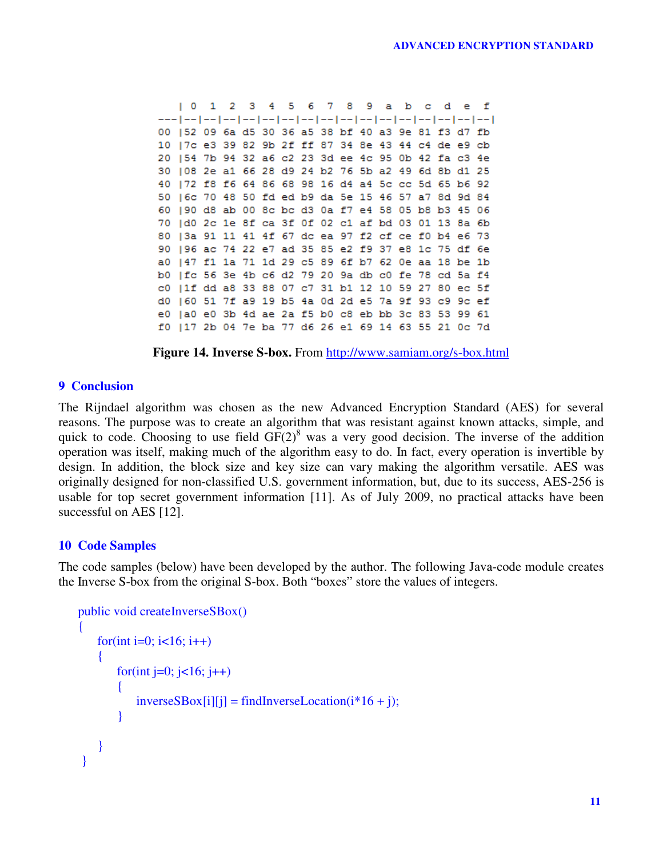$101234$ 5 6 7 8 9 a b  $\sim$   $\alpha$ d  $\mathbf f$ 00 | 52 09 6a d5 30 36 a5 38 bf 40 a3 9e 81 f3 d7 fb 10 | 7c e3 39 82 9b 2f ff 87 34 8e 43 44 c4 de e9 cb 20 154 7b 94 32 a6 c2 23 3d ee 4c 95 0b 42 fa c3 4e 30 | 08 2e a1 66 28 d9 24 b2 76 5b a2 49 6d 8b d1 25 40 | 72 f8 f6 64 86 68 98 16 d4 a4 5c cc 5d 65 b6 92 50 | 6c 70 48 50 fd ed b9 da 5e 15 46 57 a7 8d 9d 84 60 | 90 d8 ab 00 8c bc d3 0a f7 e4 58 05 b8 b3 45 06 70 | d0 2c 1e 8f ca 3f 0f 02 c1 af bd 03 01 13 8a 6b 80 | 3a 91 11 41 4f 67 dc ea 97 f2 cf ce f0 b4 e6 73 90 | 96 ac 74 22 e7 ad 35 85 e2 f9 37 e8 1c 75 df 6e a0 | 47 f1 1a 71 1d 29 c5 89 6f b7 62 0e aa 18 be 1b b0 | fc 56 3e 4b c6 d2 79 20 9a db c0 fe 78 cd 5a f4 c0 | 1f dd a8 33 88 07 c7 31 b1 12 10 59 27 80 ec 5f d0 |60 51 7f a9 19 b5 4a 0d 2d e5 7a 9f 93 c9 9c ef e0 |a0 e0 3b 4d ae 2a f5 b0 c8 eb bb 3c 83 53 99 61 f0 | 17 2b 04 7e ba 77 d6 26 e1 69 14 63 55 21 0c 7d

**Figure 14. Inverse S-box.** From http://www.samiam.org/s-box.html

# **9 Conclusion**

The Rijndael algorithm was chosen as the new Advanced Encryption Standard (AES) for several reasons. The purpose was to create an algorithm that was resistant against known attacks, simple, and quick to code. Choosing to use field  $GF(2)^8$  was a very good decision. The inverse of the addition operation was itself, making much of the algorithm easy to do. In fact, every operation is invertible by design. In addition, the block size and key size can vary making the algorithm versatile. AES was originally designed for non-classified U.S. government information, but, due to its success, AES-256 is usable for top secret government information [11]. As of July 2009, no practical attacks have been successful on AES [12].

### **10 Code Samples**

The code samples (below) have been developed by the author. The following Java-code module creates the Inverse S-box from the original S-box. Both "boxes" store the values of integers.

```
public void createInverseSBox()
{
    for(int i=0; i<16; i++)
    {
        for(int j=0; j<16; j++)
        \mathbf{f}inverseSBox[i][j] = findInverseLocation(i*16 + j);}
    }
}
```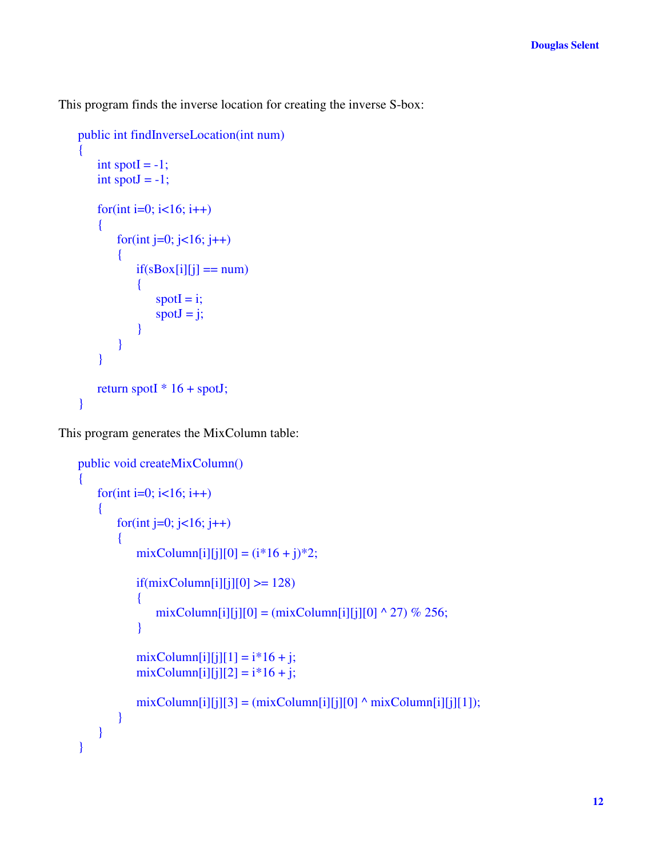This program finds the inverse location for creating the inverse S-box:

```
public int findInverseLocation(int num)
{
    int spotI = -1;
    int spotJ = -1;
    for(int i=0; i<16; i++)
    {
       for(int j=0; j<16; j++)
        {
           if(sBox[i][j] == num){
               spotI = i;spotJ = j;}
        }
    }
   return spotI * 16 + spot;
}
```
This program generates the MixColumn table:

```
public void createMixColumn()
{
   for(int i=0; i<16; i++)
   {
       for(int j=0; j<16; j++)
       {
           mixColumn[i][j][0] = (i*16 + j)*2;if(minColumn[i][j][0] \ge 128){
              mixColumn[i][j][0] = (mixColumn[i][j][0] \land 27) % 256;
           }
           mixColumn[i][j][1] = i*16 + j;mixColumn[i][j][2] = i*16 + j;mixColumn[i][j][3] = (mixColumn[i][j][0] \land mixColumn[i][j][1]),}
   }
}
```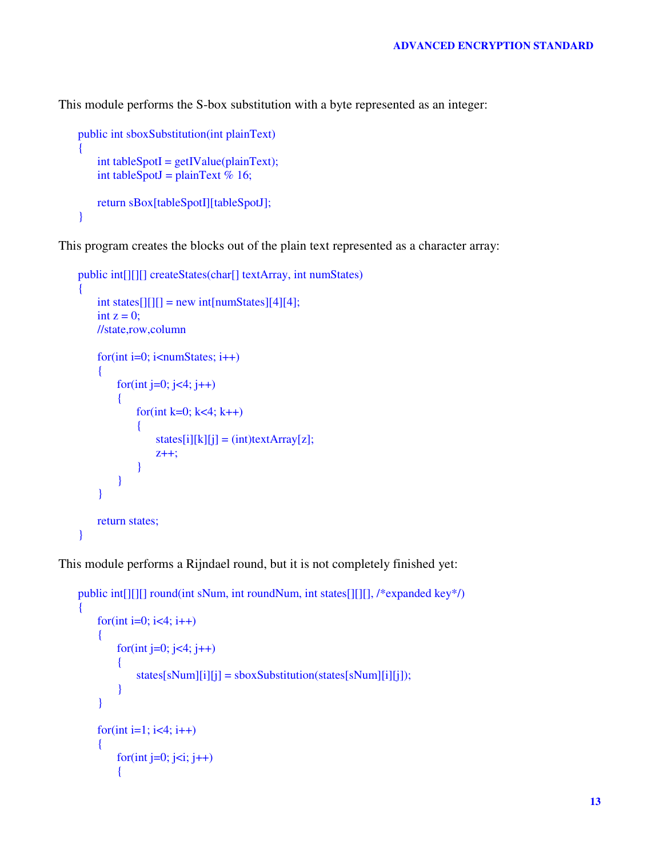This module performs the S-box substitution with a byte represented as an integer:

```
public int sboxSubstitution(int plainText)
{
    int tableSpotI = getIValue(plainText);int tableSpotJ = plainText % 16;
    return sBox[tableSpotI][tableSpotJ];
}
```
This program creates the blocks out of the plain text represented as a character array:

```
public int[][][] createStates(char[] textArray, int numStates)
{
    int states[[[][] = new int[numStates][4][4];
    int z = 0;
    //state,row,column
    for(int i=0; i<numStates; i++)
    {
        for(int j=0; j<4; j++)
        {
             for(int k=0; k<4; k++)
             {
                 states[i][k][j] = (int)textArray[z];z++;
             }
        }
    }
    return states;
}
```
This module performs a Rijndael round, but it is not completely finished yet:

```
public int[][][] round(int sNum, int roundNum, int states[][][], /*expanded key*/)
{
    for(int i=0; i<4; i++)
    {
        for(int j=0; j<4; j++)
        {
            states[shum][i][j] = sboxSubstitution(states[shum][i][j]);}
    }
    for(int i=1; i<4; i++)
    {
        for(int j=0; j<i; j++)
        {
```